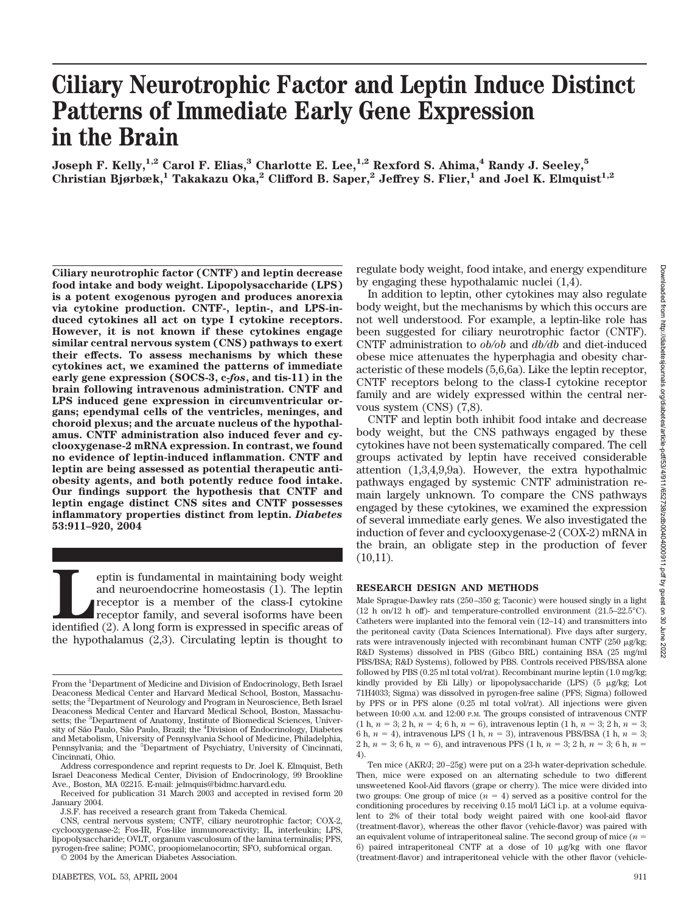# **Ciliary Neurotrophic Factor and Leptin Induce Distinct Patterns of Immediate Early Gene Expression in the Brain**

**Joseph F. Kelly,**<sup>1,2</sup> Carol F. Elias,<sup>3</sup> Charlotte E. Lee,<sup>1,2</sup> Rexford S. Ahima,<sup>4</sup> Randy J. Seeley,<sup>5</sup> **Christian Bjørbæk,<sup>1</sup> Takakazu Oka,<sup>2</sup> Clifford B. Saper,<sup>2</sup> Jeffrey S. Flier,<sup>1</sup> and Joel K. Elmquist<sup>1,2</sup>** 

**Ciliary neurotrophic factor (CNTF) and leptin decrease food intake and body weight. Lipopolysaccharide (LPS) is a potent exogenous pyrogen and produces anorexia via cytokine production. CNTF-, leptin-, and LPS-induced cytokines all act on type I cytokine receptors. However, it is not known if these cytokines engage similar central nervous system (CNS) pathways to exert their effects. To assess mechanisms by which these cytokines act, we examined the patterns of immediate early gene expression (SOCS-3, c-***fos***, and tis-11) in the brain following intravenous administration. CNTF and LPS induced gene expression in circumventricular organs; ependymal cells of the ventricles, meninges, and choroid plexus; and the arcuate nucleus of the hypothalamus. CNTF administration also induced fever and cyclooxygenase-2 mRNA expression. In contrast, we found no evidence of leptin-induced inflammation. CNTF and leptin are being assessed as potential therapeutic antiobesity agents, and both potently reduce food intake. Our findings support the hypothesis that CNTF and leptin engage distinct CNS sites and CNTF possesses inflammatory properties distinct from leptin.** *Diabetes* **53:911–920, 2004**

**Leptin** is fundamental in maintaining body weight and neuroendocrine homeostasis (1). The leptin receptor is a member of the class-I cytokine receptor family, and several isoforms have been identified (2). A long form is and neuroendocrine homeostasis (1). The leptin receptor is a member of the class-I cytokine receptor family, and several isoforms have been the hypothalamus (2,3). Circulating leptin is thought to regulate body weight, food intake, and energy expenditure by engaging these hypothalamic nuclei (1,4).

In addition to leptin, other cytokines may also regulate body weight, but the mechanisms by which this occurs are not well understood. For example, a leptin-like role has been suggested for ciliary neurotrophic factor (CNTF). CNTF administration to *ob/ob* and *db/db* and diet-induced obese mice attenuates the hyperphagia and obesity characteristic of these models (5,6,6a). Like the leptin receptor, CNTF receptors belong to the class-I cytokine receptor family and are widely expressed within the central nervous system (CNS) (7,8).

CNTF and leptin both inhibit food intake and decrease body weight, but the CNS pathways engaged by these cytokines have not been systematically compared. The cell groups activated by leptin have received considerable attention (1,3,4,9,9a). However, the extra hypothalmic pathways engaged by systemic CNTF administration remain largely unknown. To compare the CNS pathways engaged by these cytokines, we examined the expression of several immediate early genes. We also investigated the induction of fever and cyclooxygenase-2 (COX-2) mRNA in the brain, an obligate step in the production of fever (10,11).

#### **RESEARCH DESIGN AND METHODS**

Male Sprague-Dawley rats (250–350 g; Taconic) were housed singly in a light (12 h on/12 h off)- and temperature-controlled environment (21.5–22.5°C). Catheters were implanted into the femoral vein (12–14) and transmitters into the peritoneal cavity (Data Sciences International). Five days after surgery, rats were intravenously injected with recombinant human CNTF ( $250 \mu$ g/kg; R&D Systems) dissolved in PBS (Gibco BRL) containing BSA (25 mg/ml PBS/BSA; R&D Systems), followed by PBS. Controls received PBS/BSA alone followed by PBS (0.25 ml total vol/rat). Recombinant murine leptin (1.0 mg/kg; kindly provided by Eli Lilly) or lipopolysaccharide (LPS)  $(5 \mu g/kg;$  Lot 71H4033; Sigma) was dissolved in pyrogen-free saline (PFS; Sigma) followed by PFS or in PFS alone (0.25 ml total vol/rat). All injections were given between 10:00 A.M. and 12:00 P.M. The groups consisted of intravenous CNTF  $(1 h, n = 3; 2 h, n = 4; 6 h, n = 6)$ , intravenous leptin  $(1 h, n = 3; 2 h, n = 3;$ 6 h,  $n = 4$ ), intravenous LPS (1 h,  $n = 3$ ), intravenous PBS/BSA (1 h,  $n = 3$ ; 2 h,  $n = 3$ ; 6 h,  $n = 6$ ), and intravenous PFS (1 h,  $n = 3$ ; 2 h,  $n = 3$ ; 6 h,  $n =$ 4).

Ten mice (AKR/J; 20–25g) were put on a 23-h water-deprivation schedule. Then, mice were exposed on an alternating schedule to two different unsweetened Kool-Aid flavors (grape or cherry). The mice were divided into two groups: One group of mice  $(n = 4)$  served as a positive control for the conditioning procedures by receiving 0.15 mol/l LiCl i.p. at a volume equivalent to 2% of their total body weight paired with one kool-aid flavor (treatment-flavor), whereas the other flavor (vehicle-flavor) was paired with an equivalent volume of intraperitoneal saline. The second group of mice  $(n =$ 6) paired intraperitoneal CNTF at a dose of 10  $\mu$ g/kg with one flavor (treatment-flavor) and intraperitoneal vehicle with the other flavor (vehicle-

From the <sup>1</sup>Department of Medicine and Division of Endocrinology, Beth Israel Deaconess Medical Center and Harvard Medical School, Boston, Massachusetts; the <sup>2</sup>Department of Neurology and Program in Neuroscience, Beth Israel Deaconess Medical Center and Harvard Medical School, Boston, Massachusetts; the <sup>3</sup>Department of Anatomy, Institute of Biomedical Sciences, University of São Paulo, São Paulo, Brazil; the <sup>4</sup>Division of Endocrinology, Diabetes and Metabolism, University of Pennsylvania School of Medicine, Philadelphia, Pennsylvania; and the <sup>5</sup>Department of Psychiatry, University of Cincinnati, Cincinnati, Ohio.

Address correspondence and reprint requests to Dr. Joel K. Elmquist, Beth Israel Deaconess Medical Center, Division of Endocrinology, 99 Brookline Ave., Boston, MA 02215. E-mail: jelmquis@bidmc.harvard.edu.

Received for publication 31 March 2003 and accepted in revised form 20 January 2004.

J.S.F. has received a research grant from Takeda Chemical.

CNS, central nervous system; CNTF, ciliary neurotrophic factor; COX-2, cyclooxygenase-2; Fos-IR, Fos-like immunoreactivity; IL, interleukin; LPS, lipopolysaccharide; OVLT, organum vasculosum of the lamina terminalis; PFS, pyrogen-free saline; POMC, proopiomelanocortin; SFO, subfornical organ.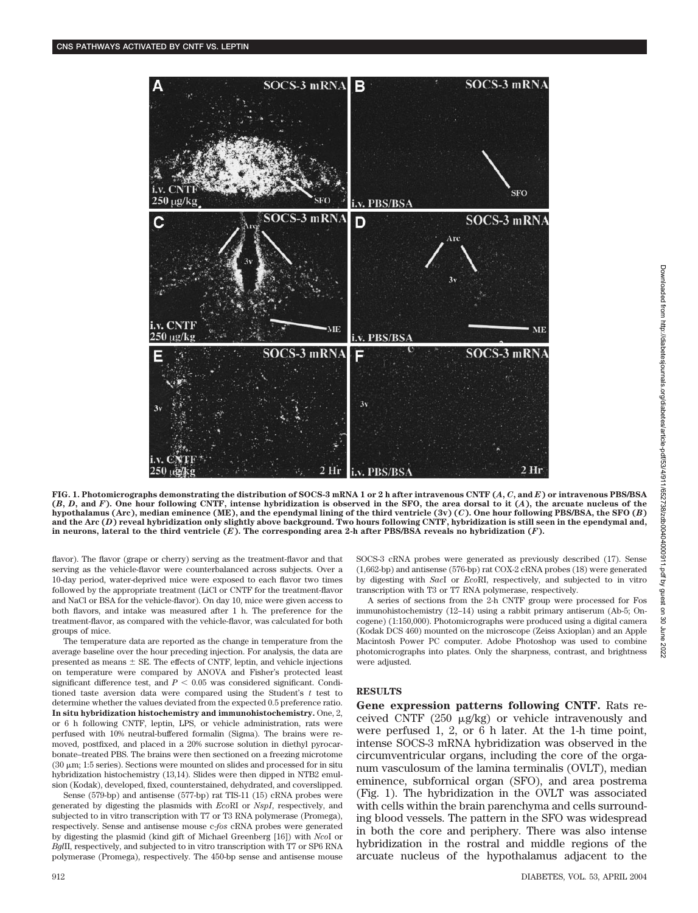

Downloaded from http://diabetesjournals.org/diabetes/article-pdf/53/4/1/652738/zdb00404000911.pdf by guest Downloaded from http://diabetesjournals.org/diabetes/article-pdf/53/4/911/652738/zdb00404000911.pdf by guest on 30 June 2022g 8 June 2022

**FIG. 1. Photomicrographs demonstrating the distribution of SOCS-3 mRNA 1 or 2 h after intravenous CNTF (***A***,** *C***, and** *E***) or intravenous PBS/BSA (***B***,** *D***, and** *F***). One hour following CNTF, intense hybridization is observed in the SFO, the area dorsal to it (***A***), the arcuate nucleus of the hypothalamus (Arc), median eminence (ME), and the ependymal lining of the third ventricle (3v) (***C***). One hour following PBS/BSA, the SFO (***B***) and the Arc (***D***) reveal hybridization only slightly above background. Two hours following CNTF, hybridization is still seen in the ependymal and, in neurons, lateral to the third ventricle (***E***). The corresponding area 2-h after PBS/BSA reveals no hybridization (***F***).**

flavor). The flavor (grape or cherry) serving as the treatment-flavor and that serving as the vehicle-flavor were counterbalanced across subjects. Over a 10-day period, water-deprived mice were exposed to each flavor two times followed by the appropriate treatment (LiCl or CNTF for the treatment-flavor and NaCl or BSA for the vehicle-flavor). On day 10, mice were given access to both flavors, and intake was measured after 1 h. The preference for the treatment-flavor, as compared with the vehicle-flavor, was calculated for both groups of mice.

The temperature data are reported as the change in temperature from the average baseline over the hour preceding injection. For analysis, the data are presented as means  $\pm$  SE. The effects of CNTF, leptin, and vehicle injections on temperature were compared by ANOVA and Fisher's protected least significant difference test, and  $P < 0.05$  was considered significant. Conditioned taste aversion data were compared using the Student's *t* test to determine whether the values deviated from the expected 0.5 preference ratio. **In situ hybridization histochemistry and immunohistochemistry.** One, 2, or 6 h following CNTF, leptin, LPS, or vehicle administration, rats were perfused with 10% neutral-buffered formalin (Sigma). The brains were removed, postfixed, and placed in a 20% sucrose solution in diethyl pyrocarbonate–treated PBS. The brains were then sectioned on a freezing microtome (30  $\mu$ m; 1:5 series). Sections were mounted on slides and processed for in situ hybridization histochemistry (13,14). Slides were then dipped in NTB2 emulsion (Kodak), developed, fixed, counterstained, dehydrated, and coverslipped.

Sense (579-bp) and antisense (577-bp) rat TIS-11 (15) cRNA probes were generated by digesting the plasmids with *Eco*RI or *NspI*, respectively, and subjected to in vitro transcription with T7 or T3 RNA polymerase (Promega), respectively. Sense and antisense mouse c-*fos* cRNA probes were generated by digesting the plasmid (kind gift of Michael Greenberg [16]) with *Nco*I or *Bgl*II, respectively, and subjected to in vitro transcription with T7 or SP6 RNA polymerase (Promega), respectively. The 450-bp sense and antisense mouse SOCS-3 cRNA probes were generated as previously described (17). Sense (1,662-bp) and antisense (576-bp) rat COX-2 cRNA probes (18) were generated by digesting with *Sac*I or *Eco*RI, respectively, and subjected to in vitro transcription with T3 or T7 RNA polymerase, respectively.

A series of sections from the 2-h CNTF group were processed for Fos immunohistochemistry (12–14) using a rabbit primary antiserum (Ab-5; Oncogene) (1:150,000). Photomicrographs were produced using a digital camera (Kodak DCS 460) mounted on the microscope (Zeiss Axioplan) and an Apple Macintosh Power PC computer. Adobe Photoshop was used to combine photomicrographs into plates. Only the sharpness, contrast, and brightness were adjusted.

## **RESULTS**

**Gene expression patterns following CNTF.** Rats received CNTF  $(250 \text{ }\mu\text{g/kg})$  or vehicle intravenously and were perfused 1, 2, or 6 h later. At the 1-h time point, intense SOCS-3 mRNA hybridization was observed in the circumventricular organs, including the core of the organum vasculosum of the lamina terminalis (OVLT), median eminence, subfornical organ (SFO), and area postrema (Fig. 1). The hybridization in the OVLT was associated with cells within the brain parenchyma and cells surrounding blood vessels. The pattern in the SFO was widespread in both the core and periphery. There was also intense hybridization in the rostral and middle regions of the arcuate nucleus of the hypothalamus adjacent to the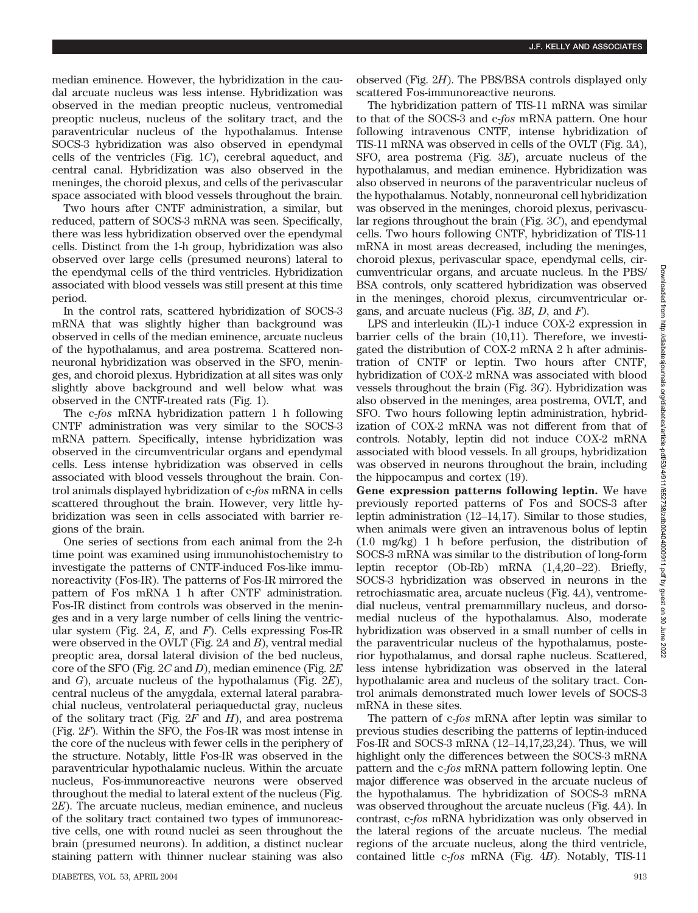median eminence. However, the hybridization in the caudal arcuate nucleus was less intense. Hybridization was observed in the median preoptic nucleus, ventromedial preoptic nucleus, nucleus of the solitary tract, and the paraventricular nucleus of the hypothalamus. Intense SOCS-3 hybridization was also observed in ependymal cells of the ventricles (Fig. 1*C*), cerebral aqueduct, and central canal. Hybridization was also observed in the meninges, the choroid plexus, and cells of the perivascular space associated with blood vessels throughout the brain.

Two hours after CNTF administration, a similar, but reduced, pattern of SOCS-3 mRNA was seen. Specifically, there was less hybridization observed over the ependymal cells. Distinct from the 1-h group, hybridization was also observed over large cells (presumed neurons) lateral to the ependymal cells of the third ventricles. Hybridization associated with blood vessels was still present at this time period.

In the control rats, scattered hybridization of SOCS-3 mRNA that was slightly higher than background was observed in cells of the median eminence, arcuate nucleus of the hypothalamus, and area postrema. Scattered nonneuronal hybridization was observed in the SFO, meninges, and choroid plexus. Hybridization at all sites was only slightly above background and well below what was observed in the CNTF-treated rats (Fig. 1).

The c-*fos* mRNA hybridization pattern 1 h following CNTF administration was very similar to the SOCS-3 mRNA pattern. Specifically, intense hybridization was observed in the circumventricular organs and ependymal cells. Less intense hybridization was observed in cells associated with blood vessels throughout the brain. Control animals displayed hybridization of c-*fos* mRNA in cells scattered throughout the brain. However, very little hybridization was seen in cells associated with barrier regions of the brain.

One series of sections from each animal from the 2-h time point was examined using immunohistochemistry to investigate the patterns of CNTF-induced Fos-like immunoreactivity (Fos-IR). The patterns of Fos-IR mirrored the pattern of Fos mRNA 1 h after CNTF administration. Fos-IR distinct from controls was observed in the meninges and in a very large number of cells lining the ventricular system (Fig. 2*A*, *E*, and *F*). Cells expressing Fos-IR were observed in the OVLT (Fig. 2*A* and *B*), ventral medial preoptic area, dorsal lateral division of the bed nucleus, core of the SFO (Fig. 2*C* and *D*), median eminence (Fig. 2*E* and *G*), arcuate nucleus of the hypothalamus (Fig. 2*E*), central nucleus of the amygdala, external lateral parabrachial nucleus, ventrolateral periaqueductal gray, nucleus of the solitary tract (Fig. 2*F* and *H*), and area postrema (Fig. 2*F*). Within the SFO, the Fos-IR was most intense in the core of the nucleus with fewer cells in the periphery of the structure. Notably, little Fos-IR was observed in the paraventricular hypothalamic nucleus. Within the arcuate nucleus, Fos-immunoreactive neurons were observed throughout the medial to lateral extent of the nucleus (Fig. 2*E*). The arcuate nucleus, median eminence, and nucleus of the solitary tract contained two types of immunoreactive cells, one with round nuclei as seen throughout the brain (presumed neurons). In addition, a distinct nuclear staining pattern with thinner nuclear staining was also

observed (Fig. 2*H*). The PBS/BSA controls displayed only scattered Fos-immunoreactive neurons.

The hybridization pattern of TIS-11 mRNA was similar to that of the SOCS-3 and c-*fos* mRNA pattern. One hour following intravenous CNTF, intense hybridization of TIS-11 mRNA was observed in cells of the OVLT (Fig. 3*A*), SFO, area postrema (Fig. 3*E*), arcuate nucleus of the hypothalamus, and median eminence. Hybridization was also observed in neurons of the paraventricular nucleus of the hypothalamus. Notably, nonneuronal cell hybridization was observed in the meninges, choroid plexus, perivascular regions throughout the brain (Fig. 3*C*), and ependymal cells. Two hours following CNTF, hybridization of TIS-11 mRNA in most areas decreased, including the meninges, choroid plexus, perivascular space, ependymal cells, circumventricular organs, and arcuate nucleus. In the PBS/ BSA controls, only scattered hybridization was observed in the meninges, choroid plexus, circumventricular organs, and arcuate nucleus (Fig. 3*B*, *D*, and *F*).

LPS and interleukin (IL)-1 induce COX-2 expression in barrier cells of the brain (10,11). Therefore, we investigated the distribution of COX-2 mRNA 2 h after administration of CNTF or leptin. Two hours after CNTF, hybridization of COX-2 mRNA was associated with blood vessels throughout the brain (Fig. 3*G*). Hybridization was also observed in the meninges, area postrema, OVLT, and SFO. Two hours following leptin administration, hybridization of COX-2 mRNA was not different from that of controls. Notably, leptin did not induce COX-2 mRNA associated with blood vessels. In all groups, hybridization was observed in neurons throughout the brain, including the hippocampus and cortex (19).

**Gene expression patterns following leptin.** We have previously reported patterns of Fos and SOCS-3 after leptin administration (12–14,17). Similar to those studies, when animals were given an intravenous bolus of leptin (1.0 mg/kg) 1 h before perfusion, the distribution of SOCS-3 mRNA was similar to the distribution of long-form leptin receptor (Ob-Rb) mRNA (1,4,20–22). Briefly, SOCS-3 hybridization was observed in neurons in the retrochiasmatic area, arcuate nucleus (Fig. 4*A*), ventromedial nucleus, ventral premammillary nucleus, and dorsomedial nucleus of the hypothalamus. Also, moderate hybridization was observed in a small number of cells in the paraventricular nucleus of the hypothalamus, posterior hypothalamus, and dorsal raphe nucleus. Scattered, less intense hybridization was observed in the lateral hypothalamic area and nucleus of the solitary tract. Control animals demonstrated much lower levels of SOCS-3 mRNA in these sites.

The pattern of c-*fos* mRNA after leptin was similar to previous studies describing the patterns of leptin-induced Fos-IR and SOCS-3 mRNA (12–14,17,23,24). Thus, we will highlight only the differences between the SOCS-3 mRNA pattern and the c-*fos* mRNA pattern following leptin. One major difference was observed in the arcuate nucleus of the hypothalamus. The hybridization of SOCS-3 mRNA was observed throughout the arcuate nucleus (Fig. 4*A*). In contrast, c-*fos* mRNA hybridization was only observed in the lateral regions of the arcuate nucleus. The medial regions of the arcuate nucleus, along the third ventricle, contained little c-*fos* mRNA (Fig. 4*B*). Notably, TIS-11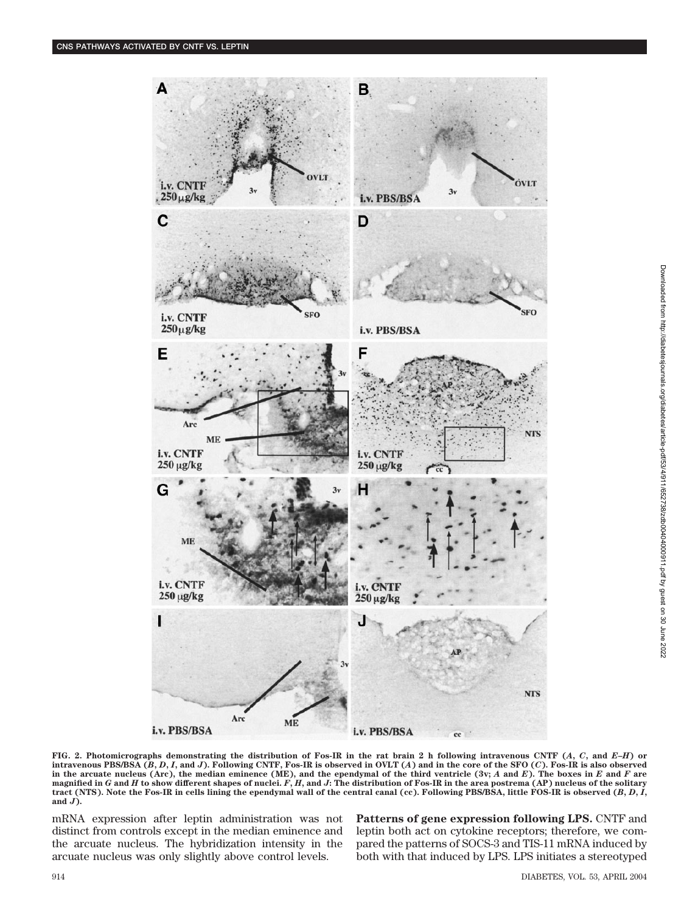

**FIG. 2. Photomicrographs demonstrating the distribution of Fos-IR in the rat brain 2 h following intravenous CNTF (***A***,** *C***, and** *E***–***H***) or** intravenous PBS/BSA  $(B, D, I, \text{and } J)$ . Following CNTF, Fos-IR is observed in OVLT  $(A)$  and in the core of the SFO  $(C)$ . Fos-IR is also observed in the arcuate nucleus (Arc), the median eminence (ME), and the ependymal of the third ventricle  $(3v; A$  and  $E)$ . The boxes in  $E$  and  $F$  are **magnified in** *G* **and** *H* **to show different shapes of nuclei.** *F***,** *H***, and** *J***: The distribution of Fos-IR in the area postrema (AP) nucleus of the solitary** tract (NTS). Note the Fos-IR in cells lining the ependymal wall of the central canal (cc). Following PBS/BSA, little FOS-IR is observed  $(B, D, I)$ , **and** *J***).**

mRNA expression after leptin administration was not distinct from controls except in the median eminence and the arcuate nucleus. The hybridization intensity in the arcuate nucleus was only slightly above control levels.

**Patterns of gene expression following LPS.** CNTF and leptin both act on cytokine receptors; therefore, we compared the patterns of SOCS-3 and TIS-11 mRNA induced by both with that induced by LPS. LPS initiates a stereotyped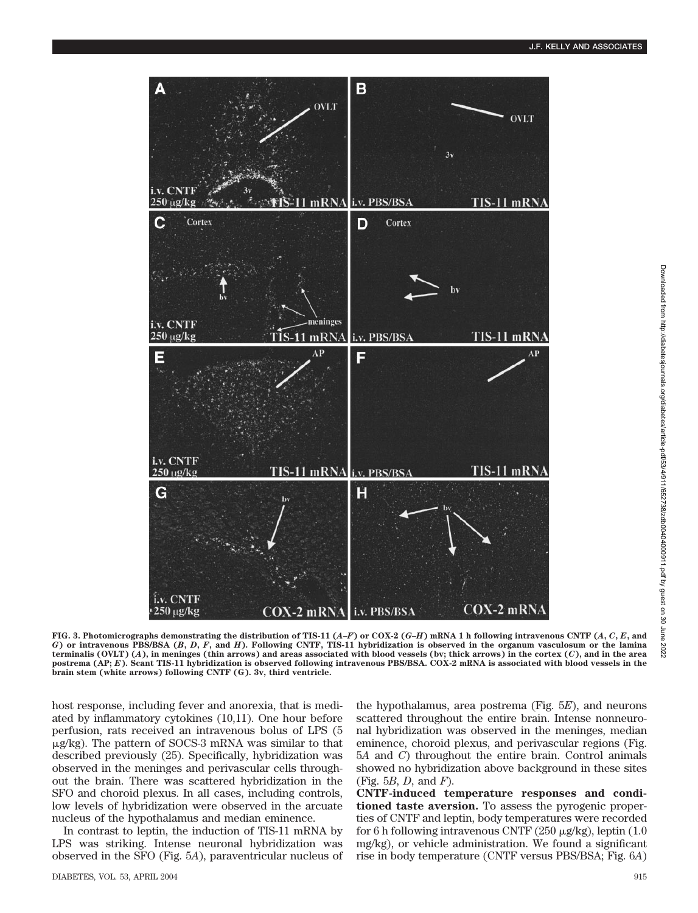

FIG. 3. Photomicrographs demonstrating the distribution of TIS-11 (A–F) or COX-2 (G–H) mRNA 1 h following intravenous CNTF (A, C, E, and *G***) or intravenous PBS/BSA (***B***,** *D***,** *F***, and** *H***). Following CNTF, TIS-11 hybridization is observed in the organum vasculosum or the lamina terminalis (OVLT) (***A***), in meninges (thin arrows) and areas associated with blood vessels (bv; thick arrows) in the cortex (***C***), and in the area postrema (AP;** *E***). Scant TIS-11 hybridization is observed following intravenous PBS/BSA. COX-2 mRNA is associated with blood vessels in the brain stem (white arrows) following CNTF (G). 3v, third ventricle.**

host response, including fever and anorexia, that is mediated by inflammatory cytokines (10,11). One hour before perfusion, rats received an intravenous bolus of LPS (5  $\mu$ g/kg). The pattern of SOCS-3 mRNA was similar to that described previously (25). Specifically, hybridization was observed in the meninges and perivascular cells throughout the brain. There was scattered hybridization in the SFO and choroid plexus. In all cases, including controls, low levels of hybridization were observed in the arcuate nucleus of the hypothalamus and median eminence.

In contrast to leptin, the induction of TIS-11 mRNA by LPS was striking. Intense neuronal hybridization was observed in the SFO (Fig. 5*A*), paraventricular nucleus of the hypothalamus, area postrema (Fig. 5*E*), and neurons scattered throughout the entire brain. Intense nonneuronal hybridization was observed in the meninges, median eminence, choroid plexus, and perivascular regions (Fig. 5*A* and *C*) throughout the entire brain. Control animals showed no hybridization above background in these sites (Fig. 5*B*, *D*, and *F*).

**CNTF-induced temperature responses and conditioned taste aversion.** To assess the pyrogenic properties of CNTF and leptin, body temperatures were recorded for 6 h following intravenous CNTF (250  $\mu$ g/kg), leptin (1.0) mg/kg), or vehicle administration. We found a significant rise in body temperature (CNTF versus PBS/BSA; Fig. 6*A*)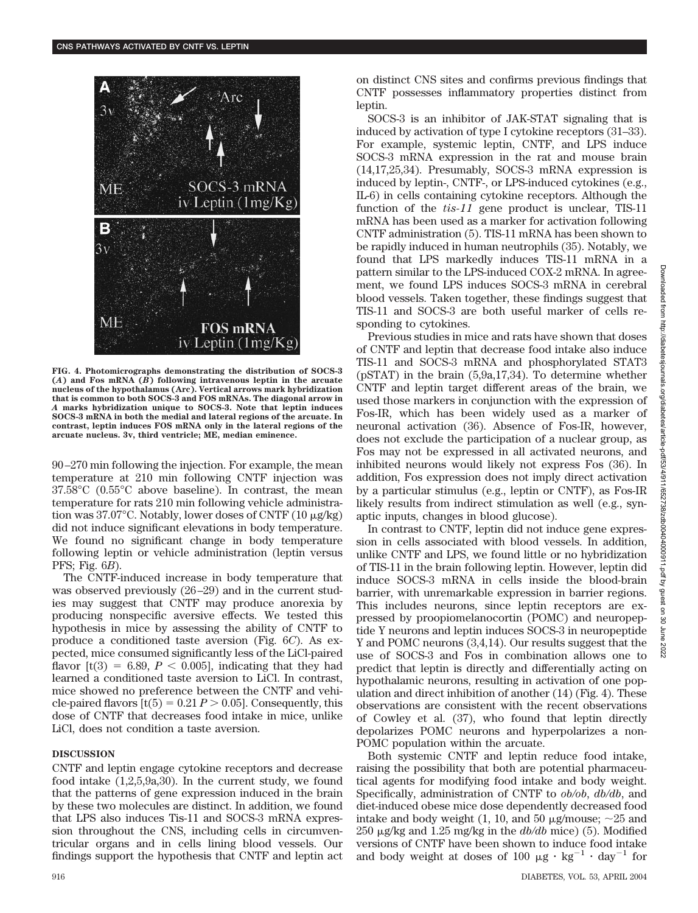

**FIG. 4. Photomicrographs demonstrating the distribution of SOCS-3 (***A***) and Fos mRNA (***B***) following intravenous leptin in the arcuate nucleus of the hypothalamus (Arc). Vertical arrows mark hybridization that is common to both SOCS-3 and FOS mRNAs. The diagonal arrow in** *A* **marks hybridization unique to SOCS-3. Note that leptin induces SOCS-3 mRNA in both the medial and lateral regions of the arcuate. In contrast, leptin induces FOS mRNA only in the lateral regions of the arcuate nucleus. 3v, third ventricle; ME, median eminence.**

90–270 min following the injection. For example, the mean temperature at 210 min following CNTF injection was 37.58°C (0.55°C above baseline). In contrast, the mean temperature for rats 210 min following vehicle administration was 37.07 $^{\circ}$ C. Notably, lower doses of CNTF (10  $\mu$ g/kg) did not induce significant elevations in body temperature. We found no significant change in body temperature following leptin or vehicle administration (leptin versus PFS; Fig. 6*B*).

The CNTF-induced increase in body temperature that was observed previously (26–29) and in the current studies may suggest that CNTF may produce anorexia by producing nonspecific aversive effects. We tested this hypothesis in mice by assessing the ability of CNTF to produce a conditioned taste aversion (Fig. 6*C*). As expected, mice consumed significantly less of the LiCl-paired flavor  $[t(3) = 6.89, P < 0.005]$ , indicating that they had learned a conditioned taste aversion to LiCl. In contrast, mice showed no preference between the CNTF and vehicle-paired flavors  $[t(5) = 0.21 P > 0.05]$ . Consequently, this dose of CNTF that decreases food intake in mice, unlike LiCl, does not condition a taste aversion.

## **DISCUSSION**

CNTF and leptin engage cytokine receptors and decrease food intake (1,2,5,9a,30). In the current study, we found that the patterns of gene expression induced in the brain by these two molecules are distinct. In addition, we found that LPS also induces Tis-11 and SOCS-3 mRNA expression throughout the CNS, including cells in circumventricular organs and in cells lining blood vessels. Our findings support the hypothesis that CNTF and leptin act on distinct CNS sites and confirms previous findings that CNTF possesses inflammatory properties distinct from leptin.

SOCS-3 is an inhibitor of JAK-STAT signaling that is induced by activation of type I cytokine receptors (31–33). For example, systemic leptin, CNTF, and LPS induce SOCS-3 mRNA expression in the rat and mouse brain (14,17,25,34). Presumably, SOCS-3 mRNA expression is induced by leptin-, CNTF-, or LPS-induced cytokines (e.g., IL-6) in cells containing cytokine receptors. Although the function of the *tis-11* gene product is unclear, TIS-11 mRNA has been used as a marker for activation following CNTF administration (5). TIS-11 mRNA has been shown to be rapidly induced in human neutrophils (35). Notably, we found that LPS markedly induces TIS-11 mRNA in a pattern similar to the LPS-induced COX-2 mRNA. In agreement, we found LPS induces SOCS-3 mRNA in cerebral blood vessels. Taken together, these findings suggest that TIS-11 and SOCS-3 are both useful marker of cells responding to cytokines.

Previous studies in mice and rats have shown that doses of CNTF and leptin that decrease food intake also induce TIS-11 and SOCS-3 mRNA and phosphorylated STAT3 (pSTAT) in the brain (5,9a,17,34). To determine whether CNTF and leptin target different areas of the brain, we used those markers in conjunction with the expression of Fos-IR, which has been widely used as a marker of neuronal activation (36). Absence of Fos-IR, however, does not exclude the participation of a nuclear group, as Fos may not be expressed in all activated neurons, and inhibited neurons would likely not express Fos (36). In addition, Fos expression does not imply direct activation by a particular stimulus (e.g., leptin or CNTF), as Fos-IR likely results from indirect stimulation as well (e.g., synaptic inputs, changes in blood glucose).

In contrast to CNTF, leptin did not induce gene expression in cells associated with blood vessels. In addition, unlike CNTF and LPS, we found little or no hybridization of TIS-11 in the brain following leptin. However, leptin did induce SOCS-3 mRNA in cells inside the blood-brain barrier, with unremarkable expression in barrier regions. This includes neurons, since leptin receptors are expressed by proopiomelanocortin (POMC) and neuropeptide Y neurons and leptin induces SOCS-3 in neuropeptide Y and POMC neurons (3,4,14). Our results suggest that the use of SOCS-3 and Fos in combination allows one to predict that leptin is directly and differentially acting on hypothalamic neurons, resulting in activation of one population and direct inhibition of another (14) (Fig. 4). These observations are consistent with the recent observations of Cowley et al. (37), who found that leptin directly depolarizes POMC neurons and hyperpolarizes a non-POMC population within the arcuate.

Both systemic CNTF and leptin reduce food intake, raising the possibility that both are potential pharmaceutical agents for modifying food intake and body weight. Specifically, administration of CNTF to *ob/ob*, *db/db*, and diet-induced obese mice dose dependently decreased food intake and body weight (1, 10, and 50  $\mu$ g/mouse;  $\sim$ 25 and 250  $\mu$ g/kg and 1.25 mg/kg in the  $db/db$  mice) (5). Modified versions of CNTF have been shown to induce food intake and body weight at doses of 100  $\mu$ g · kg<sup>-1</sup> · day<sup>-1</sup> for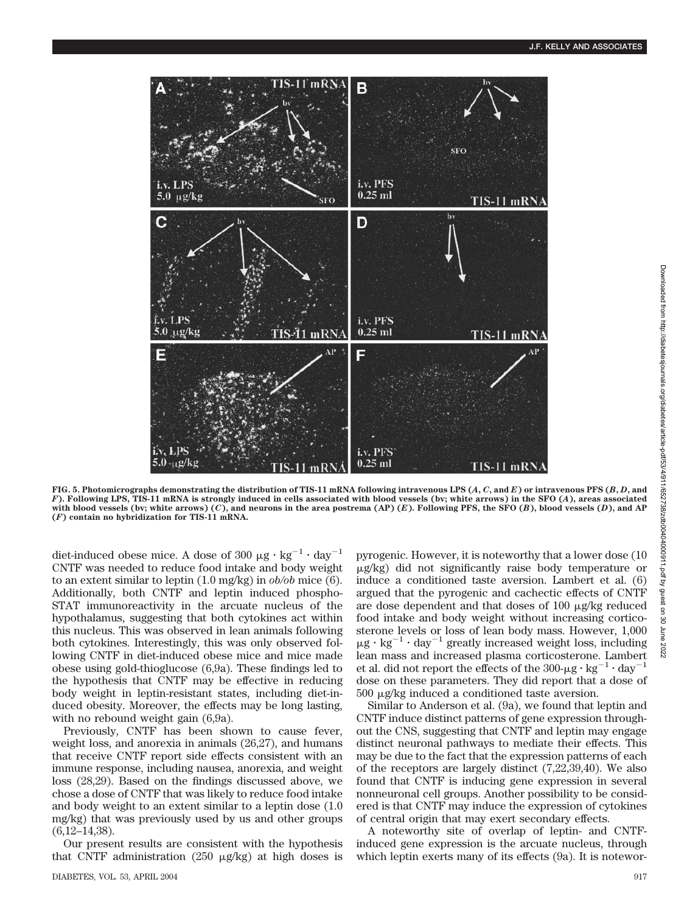

Downloaded from http://diabetesjournals.org/cliabetes/article-pdf/53/4/911/652738/zdb00404000911.pdf by guest on 30 June 2022 Downloaded from http://diabetesjournals.org/diabetes/article-pdf/53/4/911/652738/zdb00404000911.pdf by guest on 30 June 2022

**FIG. 5. Photomicrographs demonstrating the distribution of TIS-11 mRNA following intravenous LPS (***A***,** *C***, and** *E***) or intravenous PFS (***B***,** *D***, and** *F***). Following LPS, TIS-11 mRNA is strongly induced in cells associated with blood vessels (bv; white arrows) in the SFO (***A***), areas associated with blood vessels (bv; white arrows) (***C***), and neurons in the area postrema (AP) (***E***). Following PFS, the SFO (***B***), blood vessels (***D***), and AP (***F***) contain no hybridization for TIS-11 mRNA.**

diet-induced obese mice. A dose of 300  $\mu$ g  $\cdot$  kg<sup>-1</sup>  $\cdot$  day<sup>-1</sup> CNTF was needed to reduce food intake and body weight to an extent similar to leptin (1.0 mg/kg) in *ob/ob* mice (6). Additionally, both CNTF and leptin induced phospho-STAT immunoreactivity in the arcuate nucleus of the hypothalamus, suggesting that both cytokines act within this nucleus. This was observed in lean animals following both cytokines. Interestingly, this was only observed following CNTF in diet-induced obese mice and mice made obese using gold-thioglucose (6,9a). These findings led to the hypothesis that CNTF may be effective in reducing body weight in leptin-resistant states, including diet-induced obesity. Moreover, the effects may be long lasting, with no rebound weight gain  $(6,9a)$ .

Previously, CNTF has been shown to cause fever, weight loss, and anorexia in animals (26,27), and humans that receive CNTF report side effects consistent with an immune response, including nausea, anorexia, and weight loss (28,29). Based on the findings discussed above, we chose a dose of CNTF that was likely to reduce food intake and body weight to an extent similar to a leptin dose (1.0 mg/kg) that was previously used by us and other groups (6,12–14,38).

Our present results are consistent with the hypothesis that CNTF administration (250  $\mu$ g/kg) at high doses is pyrogenic. However, it is noteworthy that a lower dose (10  $\mu$ g/kg) did not significantly raise body temperature or induce a conditioned taste aversion. Lambert et al. (6) argued that the pyrogenic and cachectic effects of CNTF are dose dependent and that doses of  $100 \mu$ g/kg reduced food intake and body weight without increasing corticosterone levels or loss of lean body mass. However, 1,000  $\mu$ g  $\cdot$  kg<sup>-1</sup>  $\cdot$  day<sup>-1</sup> greatly increased weight loss, including lean mass and increased plasma corticosterone. Lambert et al. did not report the effects of the  $300-\mu g \cdot kg^{-1} \cdot day^{-1}$ dose on these parameters. They did report that a dose of  $500 \mu$ g/kg induced a conditioned taste aversion.

Similar to Anderson et al. (9a), we found that leptin and CNTF induce distinct patterns of gene expression throughout the CNS, suggesting that CNTF and leptin may engage distinct neuronal pathways to mediate their effects. This may be due to the fact that the expression patterns of each of the receptors are largely distinct (7,22,39,40). We also found that CNTF is inducing gene expression in several nonneuronal cell groups. Another possibility to be considered is that CNTF may induce the expression of cytokines of central origin that may exert secondary effects.

A noteworthy site of overlap of leptin- and CNTFinduced gene expression is the arcuate nucleus, through which leptin exerts many of its effects (9a). It is notewor-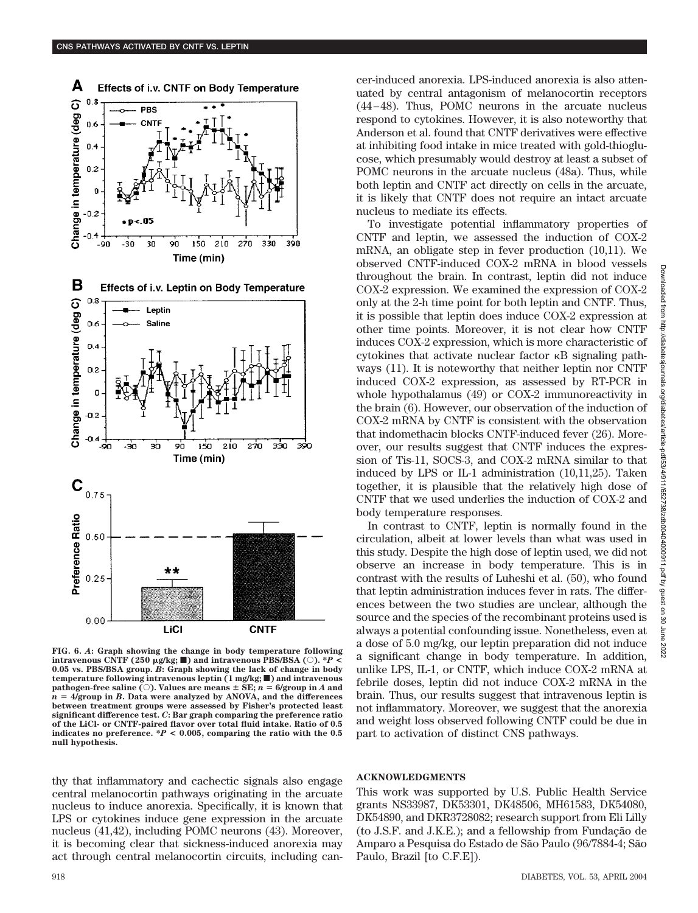

**FIG. 6.** *A***: Graph showing the change in body temperature following**  $i$ **ntravenous CNTF (250**  $\mu$ g/kg;  $\blacksquare$ ) and intravenous PBS/BSA ( $\bigcirc$ ). \* $P$  < **0.05 vs. PBS/BSA group.** *B***: Graph showing the lack of change in body temperature following intravenous leptin (1 mg/kg;** f**) and intravenous**  $\text{pathogen-free saline}$  ( $\circlearrowleft$ ). Values are means  $\pm$  SE;  $n = 6/\text{group in }A$  and  $n = 4$ /group in *B***.** Data were analyzed by ANOVA, and the differences **between treatment groups were assessed by Fisher's protected least significant difference test.** *C***: Bar graph comparing the preference ratio of the LiCl- or CNTF-paired flavor over total fluid intake. Ratio of 0.5** indicates no preference.  $*P < 0.005$ , comparing the ratio with the 0.5 **null hypothesis.**

thy that inflammatory and cachectic signals also engage central melanocortin pathways originating in the arcuate nucleus to induce anorexia. Specifically, it is known that LPS or cytokines induce gene expression in the arcuate nucleus (41,42), including POMC neurons (43). Moreover, it is becoming clear that sickness-induced anorexia may act through central melanocortin circuits, including cancer-induced anorexia. LPS-induced anorexia is also attenuated by central antagonism of melanocortin receptors (44–48). Thus, POMC neurons in the arcuate nucleus respond to cytokines. However, it is also noteworthy that Anderson et al. found that CNTF derivatives were effective at inhibiting food intake in mice treated with gold-thioglucose, which presumably would destroy at least a subset of POMC neurons in the arcuate nucleus (48a). Thus, while both leptin and CNTF act directly on cells in the arcuate, it is likely that CNTF does not require an intact arcuate nucleus to mediate its effects.

To investigate potential inflammatory properties of CNTF and leptin, we assessed the induction of COX-2 mRNA, an obligate step in fever production (10,11). We observed CNTF-induced COX-2 mRNA in blood vessels throughout the brain. In contrast, leptin did not induce COX-2 expression. We examined the expression of COX-2 only at the 2-h time point for both leptin and CNTF. Thus, it is possible that leptin does induce COX-2 expression at other time points. Moreover, it is not clear how CNTF induces COX-2 expression, which is more characteristic of cytokines that activate nuclear factor  $\kappa$ B signaling pathways (11). It is noteworthy that neither leptin nor CNTF induced COX-2 expression, as assessed by RT-PCR in whole hypothalamus (49) or COX-2 immunoreactivity in the brain (6). However, our observation of the induction of COX-2 mRNA by CNTF is consistent with the observation that indomethacin blocks CNTF-induced fever (26). Moreover, our results suggest that CNTF induces the expression of Tis-11, SOCS-3, and COX-2 mRNA similar to that induced by LPS or IL-1 administration (10,11,25). Taken together, it is plausible that the relatively high dose of CNTF that we used underlies the induction of COX-2 and body temperature responses.

In contrast to CNTF, leptin is normally found in the circulation, albeit at lower levels than what was used in this study. Despite the high dose of leptin used, we did not observe an increase in body temperature. This is in contrast with the results of Luheshi et al. (50), who found that leptin administration induces fever in rats. The differences between the two studies are unclear, although the source and the species of the recombinant proteins used is always a potential confounding issue. Nonetheless, even at a dose of 5.0 mg/kg, our leptin preparation did not induce a significant change in body temperature. In addition, unlike LPS, IL-1, or CNTF, which induce COX-2 mRNA at febrile doses, leptin did not induce COX-2 mRNA in the brain. Thus, our results suggest that intravenous leptin is not inflammatory. Moreover, we suggest that the anorexia and weight loss observed following CNTF could be due in part to activation of distinct CNS pathways.

## **ACKNOWLEDGMENTS**

This work was supported by U.S. Public Health Service grants NS33987, DK53301, DK48506, MH61583, DK54080, DK54890, and DKR3728082; research support from Eli Lilly (to J.S.F. and J.K.E.); and a fellowship from Fundação de Amparo a Pesquisa do Estado de São Paulo (96/7884-4; São Paulo, Brazil [to C.F.E]).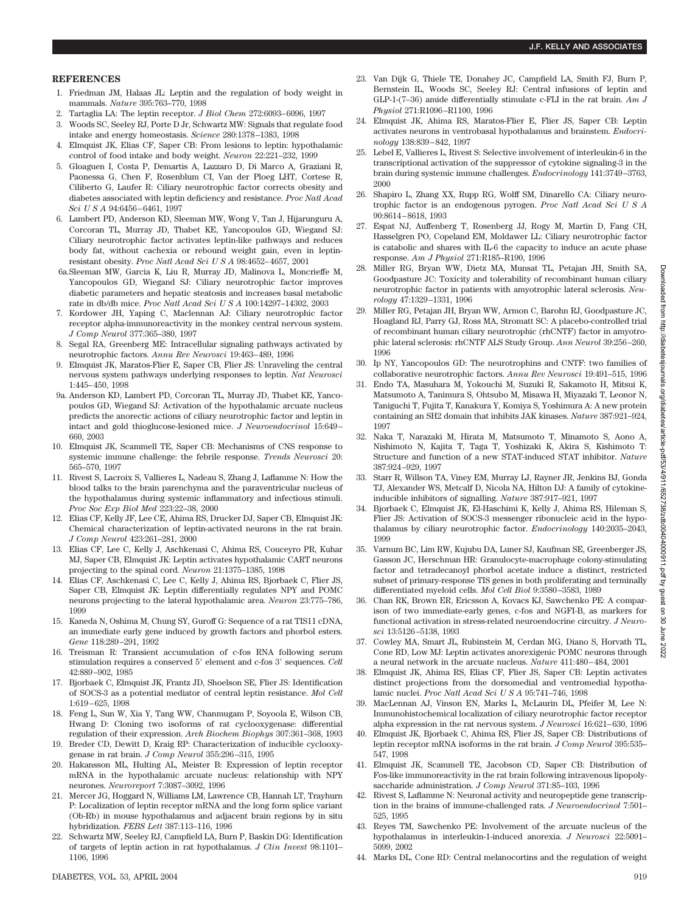## **REFERENCES**

- 1. Friedman JM, Halaas JL: Leptin and the regulation of body weight in mammals. *Nature* 395:763–770, 1998
- 2. Tartaglia LA: The leptin receptor. *J Biol Chem* 272:6093–6096, 1997
- 3. Woods SC, Seeley RJ, Porte D Jr, Schwartz MW: Signals that regulate food intake and energy homeostasis. *Science* 280:1378–1383, 1998
- 4. Elmquist JK, Elias CF, Saper CB: From lesions to leptin: hypothalamic control of food intake and body weight. *Neuron* 22:221–232, 1999
- 5. Gloaguen I, Costa P, Demartis A, Lazzaro D, Di Marco A, Graziani R, Paonessa G, Chen F, Rosenblum CI, Van der Ploeg LHT, Cortese R, Ciliberto G, Laufer R: Ciliary neurotrophic factor corrects obesity and diabetes associated with leptin deficiency and resistance. *Proc Natl Acad Sci U S A* 94:6456–6461, 1997
- 6. Lambert PD, Anderson KD, Sleeman MW, Wong V, Tan J, Hijarunguru A, Corcoran TL, Murray JD, Thabet KE, Yancopoulos GD, Wiegand SJ: Ciliary neurotrophic factor activates leptin-like pathways and reduces body fat, without cachexia or rebound weight gain, even in leptinresistant obesity. *Proc Natl Acad SciUSA* 98:4652–4657, 2001
- 6a.Sleeman MW, Garcia K, Liu R, Murray JD, Malinova L, Moncrieffe M, Yancopoulos GD, Wiegand SJ: Ciliary neurotrophic factor improves diabetic parameters and hepatic steatosis and increases basal metabolic rate in db/db mice. *Proc Natl Acad SciUSA* 100:14297–14302, 2003
- 7. Kordower JH, Yaping C, Maclennan AJ: Ciliary neurotrophic factor receptor alpha-immunoreactivity in the monkey central nervous system. *J Comp Neurol* 377:365–380, 1997
- 8. Segal RA, Greenberg ME: Intracellular signaling pathways activated by neurotrophic factors. *Annu Rev Neurosci* 19:463–489, 1996
- 9. Elmquist JK, Maratos-Flier E, Saper CB, Flier JS: Unraveling the central nervous system pathways underlying responses to leptin. *Nat Neurosci* 1:445–450, 1998
- 9a. Anderson KD, Lambert PD, Corcoran TL, Murray JD, Thabet KE, Yancopoulos GD, Wiegand SJ: Activation of the hypothalamic arcuate nucleus predicts the anorectic actions of ciliary neurotrophic factor and leptin in intact and gold thioglucose-lesioned mice. *J Neuroendocrinol* 15:649– 660, 2003
- 10. Elmquist JK, Scammell TE, Saper CB: Mechanisms of CNS response to systemic immune challenge: the febrile response. *Trends Neurosci* 20: 565–570, 1997
- 11. Rivest S, Lacroix S, Vallieres L, Nadeau S, Zhang J, Laflamme N: How the blood talks to the brain parenchyma and the paraventricular nucleus of the hypothalamus during systemic inflammatory and infectious stimuli. *Proc Soc Exp Biol Med* 223:22–38, 2000
- 12. Elias CF, Kelly JF, Lee CE, Ahima RS, Drucker DJ, Saper CB, Elmquist JK: Chemical characterization of leptin-activated neurons in the rat brain. *J Comp Neurol* 423:261–281, 2000
- 13. Elias CF, Lee C, Kelly J, Aschkenasi C, Ahima RS, Couceyro PR, Kuhar MJ, Saper CB, Elmquist JK: Leptin activates hypothalamic CART neurons projecting to the spinal cord. *Neuron* 21:1375–1385, 1998
- 14. Elias CF, Aschkenasi C, Lee C, Kelly J, Ahima RS, Bjorbaek C, Flier JS, Saper CB, Elmquist JK: Leptin differentially regulates NPY and POMC neurons projecting to the lateral hypothalamic area. *Neuron* 23:775–786, 1999
- 15. Kaneda N, Oshima M, Chung SY, Guroff G: Sequence of a rat TIS11 cDNA, an immediate early gene induced by growth factors and phorbol esters. *Gene* 118:289–291, 1992
- 16. Treisman R: Transient accumulation of c-fos RNA following serum stimulation requires a conserved 5 element and c-fos 3 sequences. *Cell* 42:889–902, 1985
- 17. Bjorbaek C, Elmquist JK, Frantz JD, Shoelson SE, Flier JS: Identification of SOCS-3 as a potential mediator of central leptin resistance. *Mol Cell* 1:619–625, 1998
- 18. Feng L, Sun W, Xia Y, Tang WW, Chanmugam P, Soyoola E, Wilson CB, Hwang D: Cloning two isoforms of rat cyclooxygenase: differential regulation of their expression. *Arch Biochem Biophys* 307:361–368, 1993
- 19. Breder CD, Dewitt D, Kraig RP: Characterization of inducible cyclooxygenase in rat brain. *J Comp Neurol* 355:296–315, 1995
- 20. Hakansson ML, Hulting AL, Meister B: Expression of leptin receptor mRNA in the hypothalamic arcuate nucleus: relationship with NPY neurones. *Neuroreport* 7:3087–3092, 1996
- 21. Mercer JG, Hoggard N, Williams LM, Lawrence CB, Hannah LT, Trayhurn P: Localization of leptin receptor mRNA and the long form splice variant (Ob-Rb) in mouse hypothalamus and adjacent brain regions by in situ hybridization. *FEBS Lett* 387:113–116, 1996
- 22. Schwartz MW, Seeley RJ, Campfield LA, Burn P, Baskin DG: Identification of targets of leptin action in rat hypothalamus. *J Clin Invest* 98:1101– 1106, 1996
- 23. Van Dijk G, Thiele TE, Donahey JC, Campfield LA, Smith FJ, Burn P, Bernstein IL, Woods SC, Seeley RJ: Central infusions of leptin and GLP-1-(7–36) amide differentially stimulate c-FLI in the rat brain. *Am J Physiol* 271:R1096–R1100, 1996
- 24. Elmquist JK, Ahima RS, Maratos-Flier E, Flier JS, Saper CB: Leptin activates neurons in ventrobasal hypothalamus and brainstem. *Endocrinology* 138:839–842, 1997
- 25. Lebel E, Vallieres L, Rivest S: Selective involvement of interleukin-6 in the transcriptional activation of the suppressor of cytokine signaling-3 in the brain during systemic immune challenges. *Endocrinology* 141:3749–3763, 2000
- 26. Shapiro L, Zhang XX, Rupp RG, Wolff SM, Dinarello CA: Ciliary neurotrophic factor is an endogenous pyrogen. *Proc Natl Acad SciUSA* 90:8614–8618, 1993
- 27. Espat NJ, Auffenberg T, Rosenberg JJ, Rogy M, Martin D, Fang CH, Hasselgren PO, Copeland EM, Moldawer LL: Ciliary neurotrophic factor is catabolic and shares with IL-6 the capacity to induce an acute phase response. *Am J Physiol* 271:R185–R190, 1996
- 28. Miller RG, Bryan WW, Dietz MA, Munsat TL, Petajan JH, Smith SA, Goodpasture JC: Toxicity and tolerability of recombinant human ciliary neurotrophic factor in patients with amyotrophic lateral sclerosis. *Neurology* 47:1329–1331, 1996
- 29. Miller RG, Petajan JH, Bryan WW, Armon C, Barohn RJ, Goodpasture JC, Hoagland RJ, Parry GJ, Ross MA, Stromatt SC: A placebo-controlled trial of recombinant human ciliary neurotrophic (rhCNTF) factor in amyotrophic lateral sclerosis: rhCNTF ALS Study Group. *Ann Neurol* 39:256–260, 1996
- 30. Ip NY, Yancopoulos GD: The neurotrophins and CNTF: two families of collaborative neurotrophic factors. *Annu Rev Neurosci* 19:491–515, 1996
- 31. Endo TA, Masuhara M, Yokouchi M, Suzuki R, Sakamoto H, Mitsui K, Matsumoto A, Tanimura S, Ohtsubo M, Misawa H, Miyazaki T, Leonor N, Taniguchi T, Fujita T, Kanakura Y, Komiya S, Yoshimura A: A new protein containing an SH2 domain that inhibits JAK kinases. *Nature* 387:921–924, 1997
- 32. Naka T, Narazaki M, Hirata M, Matsumoto T, Minamoto S, Aono A, Nishimoto N, Kajita T, Taga T, Yoshizaki K, Akira S, Kishimoto T: Structure and function of a new STAT-induced STAT inhibitor. *Nature* 387:924–929, 1997
- 33. Starr R, Willson TA, Viney EM, Murray LJ, Rayner JR, Jenkins BJ, Gonda TJ, Alexander WS, Metcalf D, Nicola NA, Hilton DJ: A family of cytokineinducible inhibitors of signalling. *Nature* 387:917–921, 1997
- 34. Bjorbaek C, Elmquist JK, El-Haschimi K, Kelly J, Ahima RS, Hileman S, Flier JS: Activation of SOCS-3 messenger ribonucleic acid in the hypothalamus by ciliary neurotrophic factor. *Endocrinology* 140:2035–2043, 1999
- 35. Varnum BC, Lim RW, Kujubu DA, Luner SJ, Kaufman SE, Greenberger JS, Gasson JC, Herschman HR: Granulocyte-macrophage colony-stimulating factor and tetradecanoyl phorbol acetate induce a distinct, restricted subset of primary-response TIS genes in both proliferating and terminally differentiated myeloid cells. *Mol Cell Biol* 9:3580–3583, 1989
- 36. Chan RK, Brown ER, Ericsson A, Kovacs KJ, Sawchenko PE: A comparison of two immediate-early genes, c-fos and NGFI-B, as markers for functional activation in stress-related neuroendocrine circuitry. *J Neurosci* 13:5126–5138, 1993
- 37. Cowley MA, Smart JL, Rubinstein M, Cerdan MG, Diano S, Horvath TL, Cone RD, Low MJ: Leptin activates anorexigenic POMC neurons through a neural network in the arcuate nucleus. *Nature* 411:480–484, 2001
- 38. Elmquist JK, Ahima RS, Elias CF, Flier JS, Saper CB: Leptin activates distinct projections from the dorsomedial and ventromedial hypothalamic nuclei. *Proc Natl Acad SciUSA* 95:741–746, 1998
- 39. MacLennan AJ, Vinson EN, Marks L, McLaurin DL, Pfeifer M, Lee N: Immunohistochemical localization of ciliary neurotrophic factor receptor alpha expression in the rat nervous system. *J Neurosci* 16:621–630, 1996
- 40. Elmquist JK, Bjorbaek C, Ahima RS, Flier JS, Saper CB: Distributions of leptin receptor mRNA isoforms in the rat brain. *J Comp Neurol* 395:535– 547, 1998
- 41. Elmquist JK, Scammell TE, Jacobson CD, Saper CB: Distribution of Fos-like immunoreactivity in the rat brain following intravenous lipopolysaccharide administration. *J Comp Neurol* 371:85–103, 1996
- 42. Rivest S, Laflamme N: Neuronal activity and neuropeptide gene transcription in the brains of immune-challenged rats. *J Neuroendocrinol* 7:501– 525, 1995
- 43. Reyes TM, Sawchenko PE: Involvement of the arcuate nucleus of the hypothalamus in interleukin-1-induced anorexia. *J Neurosci* 22:5091– 5099, 2002
- 44. Marks DL, Cone RD: Central melanocortins and the regulation of weight